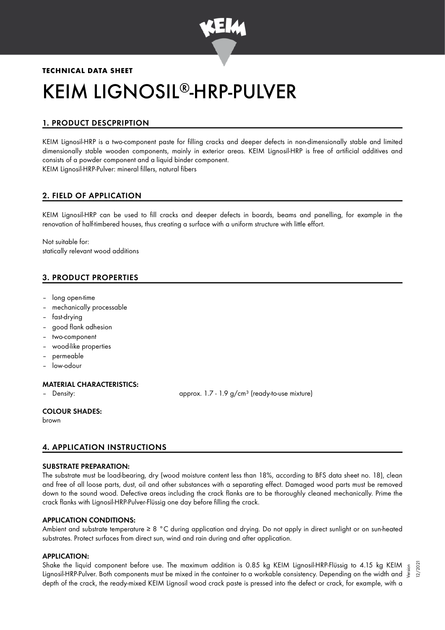

# **TECHNICAL DATA SHEET** KEIM LIGNOSIL®-HRP-PULVER

# 1. PRODUCT DESCPRIPTION

KEIM Lignosil-HRP is a two-component paste for filling cracks and deeper defects in non-dimensionally stable and limited dimensionally stable wooden components, mainly in exterior areas. KEIM Lignosil-HRP is free of artificial additives and consists of a powder component and a liquid binder component. KEIM Lignosil-HRP-Pulver: mineral fillers, natural fibers

# 2. FIELD OF APPLICATION

KEIM Lignosil-HRP can be used to fill cracks and deeper defects in boards, beams and panelling, for example in the renovation of half-timbered houses, thus creating a surface with a uniform structure with little effort.

Not suitable for: statically relevant wood additions

# 3. PRODUCT PROPERTIES

- long open-time
- mechanically processable
- fast-drying
- good flank adhesion
- two-component
- wood-like properties
- permeable
- low-odour

# MATERIAL CHARACTERISTICS:

– Density: approx. 1.7 - 1.9 g/cm<sup>3</sup> (ready-to-use mixture)

# COLOUR SHADES:

brown

# 4. APPLICATION INSTRUCTIONS

#### SUBSTRATE PREPARATION:

The substrate must be load-bearing, dry (wood moisture content less than 18%, according to BFS data sheet no. 18), clean and free of all loose parts, dust, oil and other substances with a separating effect. Damaged wood parts must be removed down to the sound wood. Defective areas including the crack flanks are to be thoroughly cleaned mechanically. Prime the crack flanks with Lignosil-HRP-Pulver-Flüssig one day before filling the crack.

# APPLICATION CONDITIONS:

Ambient and substrate temperature ≥ 8 °C during application and drying. Do not apply in direct sunlight or on sun-heated substrates. Protect surfaces from direct sun, wind and rain during and after application.

#### APPLICATION:

Shake the liquid component before use. The maximum addition is 0.85 kg KEIM Lignosil-HRP-Flüssig to 4.15 kg KEIM Shake the liquid component betore use. The maximum addition is 0.85 kg KEIM Lignosil-HRP-Flüssig to 4.15 kg KEIM  $\frac{5}{5}$ <br>Lignosil-HRP-Pulver. Both components must be mixed in the container to a workable consistency. Depe depth of the crack, the ready-mixed KEIM Lignosil wood crack paste is pressed into the defect or crack, for example, with a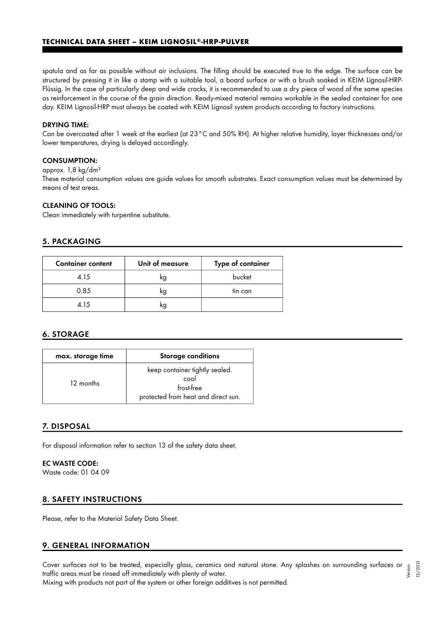#### **TECHNICAL DATA SHEET – KEIM LIGNOSIL®-HRP-PULVER**

spatula and as far as possible without air inclusions. The filling should be executed true to the edge. The surface can be structured by pressing it in like a stamp with a suitable tool, a board surface or with a brush soaked in KEIM Lignosil-HRP-Flüssig. In the case of particularly deep and wide cracks, it is recommended to use a dry piece of wood of the same species as reinforcement in the course of the grain direction. Ready-mixed material remains workable in the sealed container for one day. KEIM Lignosil-HRP must always be coated with KEIM Lignosil system products according to factory instructions.

#### DRYING TIME:

Can be overcoated after 1 week at the earliest (at 23°C and 50% RH). At higher relative humidity, layer thicknesses and/or lower temperatures, drying is delayed accordingly.

# CONSUMPTION:

#### approx. 1,8 kg/dm<sup>3</sup>

These material consumption values are guide values for smooth substrates. Exact consumption values must be determined by means of test areas.

#### CLEANING OF TOOLS:

Clean immediately with turpentine substitute.

#### 5. PACKAGING

| <b>Container content</b> | Unit of measure | Type of container |
|--------------------------|-----------------|-------------------|
| 4.15                     | kg              | bucket            |
| 0.85                     | kg              | tin can           |
| 4.15                     | kg              |                   |

# 6. STORAGE

| max. storage time | <b>Storage conditions</b>                                                                   |
|-------------------|---------------------------------------------------------------------------------------------|
| 12 months         | keep container tightly sealed.<br>cool<br>frost-free<br>protected from heat and direct sun. |

#### 7. DISPOSAL

For disposal information refer to section 13 of the safety data sheet.

#### EC WASTE CODE:

Waste code: 01 04 09

# 8. SAFETY INSTRUCTIONS

Please, refer to the Material Safety Data Sheet.

# 9. GENERAL INFORMATION

Cover surfaces not to be treated, especially glass, ceramics and natural stone. Any splashes on surrounding surfaces or traffic areas must be rinsed off immediately with plenty of water. Version 12/2021

Mixing with products not part of the system or other foreign additives is not permitted.